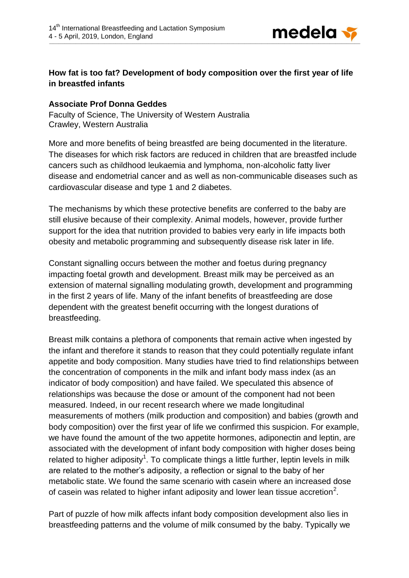

## **How fat is too fat? Development of body composition over the first year of life in breastfed infants**

## **Associate Prof Donna Geddes**

Faculty of Science, The University of Western Australia Crawley, Western Australia

More and more benefits of being breastfed are being documented in the literature. The diseases for which risk factors are reduced in children that are breastfed include cancers such as childhood leukaemia and lymphoma, non-alcoholic fatty liver disease and endometrial cancer and as well as non-communicable diseases such as cardiovascular disease and type 1 and 2 diabetes.

The mechanisms by which these protective benefits are conferred to the baby are still elusive because of their complexity. Animal models, however, provide further support for the idea that nutrition provided to babies very early in life impacts both obesity and metabolic programming and subsequently disease risk later in life.

Constant signalling occurs between the mother and foetus during pregnancy impacting foetal growth and development. Breast milk may be perceived as an extension of maternal signalling modulating growth, development and programming in the first 2 years of life. Many of the infant benefits of breastfeeding are dose dependent with the greatest benefit occurring with the longest durations of breastfeeding.

Breast milk contains a plethora of components that remain active when ingested by the infant and therefore it stands to reason that they could potentially regulate infant appetite and body composition. Many studies have tried to find relationships between the concentration of components in the milk and infant body mass index (as an indicator of body composition) and have failed. We speculated this absence of relationships was because the dose or amount of the component had not been measured. Indeed, in our recent research where we made longitudinal measurements of mothers (milk production and composition) and babies (growth and body composition) over the first year of life we confirmed this suspicion. For example, we have found the amount of the two appetite hormones, adiponectin and leptin, are associated with the development of infant body composition with higher doses being related to higher adiposity<sup>1</sup>. To complicate things a little further, leptin levels in milk are related to the mother's adiposity, a reflection or signal to the baby of her metabolic state. We found the same scenario with casein where an increased dose of casein was related to higher infant adiposity and lower lean tissue accretion<sup>2</sup>.

Part of puzzle of how milk affects infant body composition development also lies in breastfeeding patterns and the volume of milk consumed by the baby. Typically we